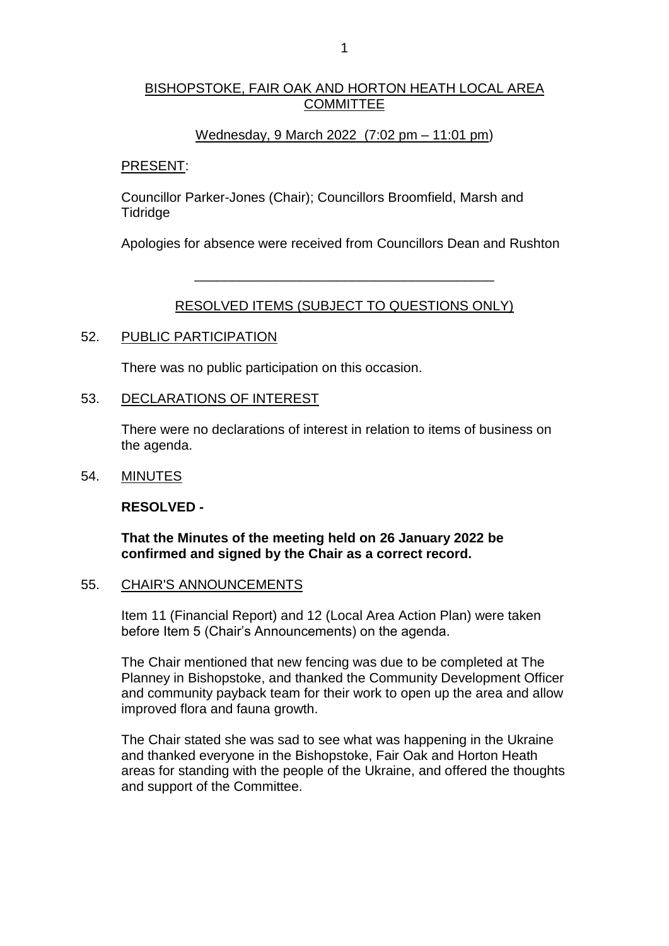### BISHOPSTOKE, FAIR OAK AND HORTON HEATH LOCAL AREA **COMMITTEE**

### Wednesday, 9 March 2022 (7:02 pm – 11:01 pm)

#### PRESENT:

Councillor Parker-Jones (Chair); Councillors Broomfield, Marsh and **Tidridge** 

Apologies for absence were received from Councillors Dean and Rushton

# RESOLVED ITEMS (SUBJECT TO QUESTIONS ONLY)

\_\_\_\_\_\_\_\_\_\_\_\_\_\_\_\_\_\_\_\_\_\_\_\_\_\_\_\_\_\_\_\_\_\_\_\_\_\_\_\_

### 52. PUBLIC PARTICIPATION

There was no public participation on this occasion.

### 53. DECLARATIONS OF INTEREST

There were no declarations of interest in relation to items of business on the agenda.

#### 54. MINUTES

**RESOLVED -**

**That the Minutes of the meeting held on 26 January 2022 be confirmed and signed by the Chair as a correct record.**

#### 55. CHAIR'S ANNOUNCEMENTS

Item 11 (Financial Report) and 12 (Local Area Action Plan) were taken before Item 5 (Chair's Announcements) on the agenda.

The Chair mentioned that new fencing was due to be completed at The Planney in Bishopstoke, and thanked the Community Development Officer and community payback team for their work to open up the area and allow improved flora and fauna growth.

The Chair stated she was sad to see what was happening in the Ukraine and thanked everyone in the Bishopstoke, Fair Oak and Horton Heath areas for standing with the people of the Ukraine, and offered the thoughts and support of the Committee.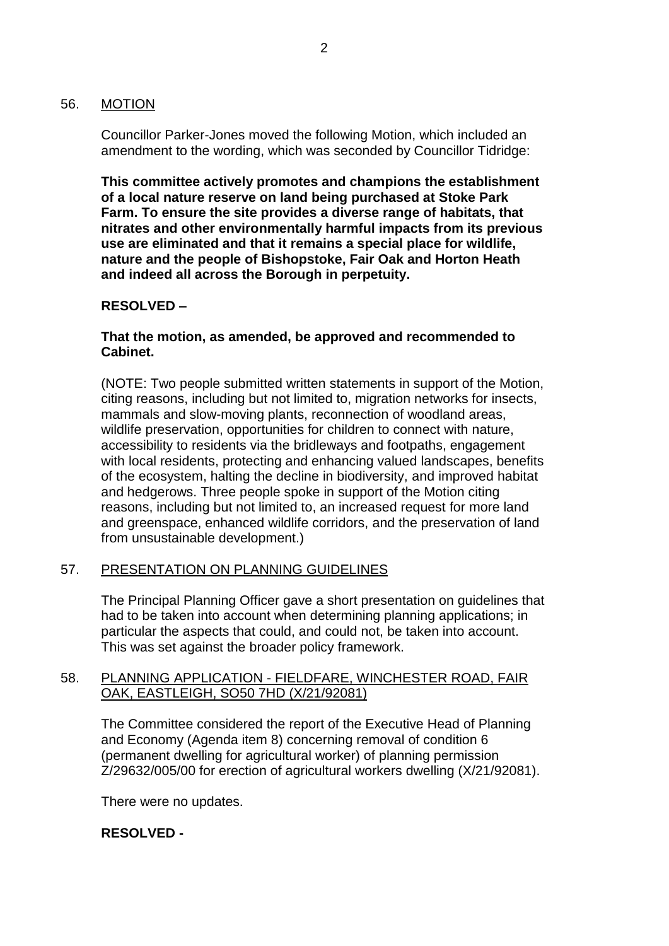### 56. MOTION

Councillor Parker-Jones moved the following Motion, which included an amendment to the wording, which was seconded by Councillor Tidridge:

**This committee actively promotes and champions the establishment of a local nature reserve on land being purchased at Stoke Park Farm. To ensure the site provides a diverse range of habitats, that nitrates and other environmentally harmful impacts from its previous use are eliminated and that it remains a special place for wildlife, nature and the people of Bishopstoke, Fair Oak and Horton Heath and indeed all across the Borough in perpetuity.**

# **RESOLVED –**

### **That the motion, as amended, be approved and recommended to Cabinet.**

(NOTE: Two people submitted written statements in support of the Motion, citing reasons, including but not limited to, migration networks for insects, mammals and slow-moving plants, reconnection of woodland areas, wildlife preservation, opportunities for children to connect with nature, accessibility to residents via the bridleways and footpaths, engagement with local residents, protecting and enhancing valued landscapes, benefits of the ecosystem, halting the decline in biodiversity, and improved habitat and hedgerows. Three people spoke in support of the Motion citing reasons, including but not limited to, an increased request for more land and greenspace, enhanced wildlife corridors, and the preservation of land from unsustainable development.)

# 57. PRESENTATION ON PLANNING GUIDELINES

The Principal Planning Officer gave a short presentation on guidelines that had to be taken into account when determining planning applications; in particular the aspects that could, and could not, be taken into account. This was set against the broader policy framework.

# 58. PLANNING APPLICATION - FIELDFARE, WINCHESTER ROAD, FAIR OAK, EASTLEIGH, SO50 7HD (X/21/92081)

The Committee considered the report of the Executive Head of Planning and Economy (Agenda item 8) concerning removal of condition 6 (permanent dwelling for agricultural worker) of planning permission Z/29632/005/00 for erection of agricultural workers dwelling (X/21/92081).

There were no updates.

# **RESOLVED -**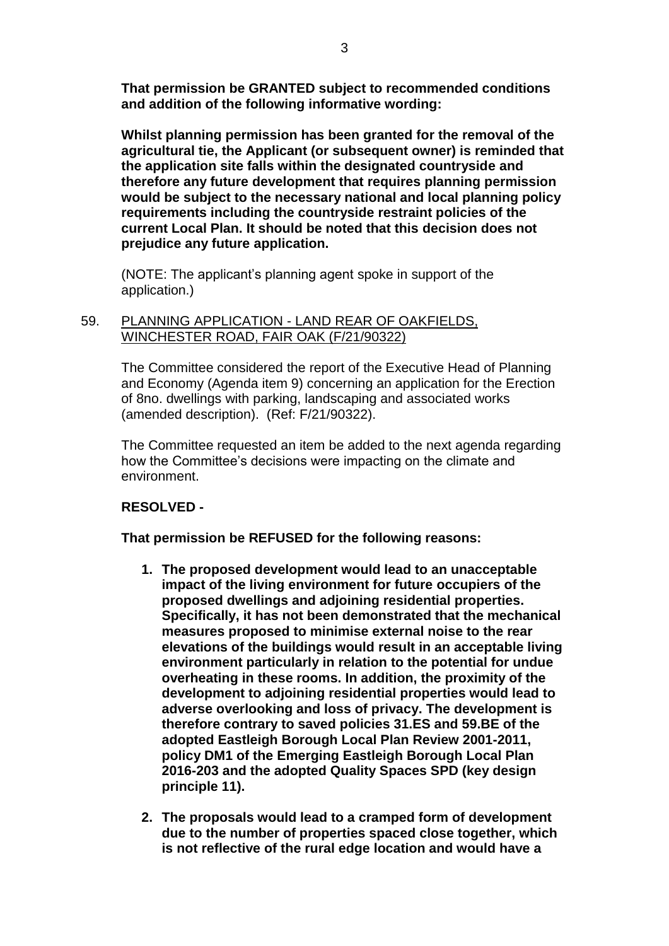**That permission be GRANTED subject to recommended conditions and addition of the following informative wording:**

**Whilst planning permission has been granted for the removal of the agricultural tie, the Applicant (or subsequent owner) is reminded that the application site falls within the designated countryside and therefore any future development that requires planning permission would be subject to the necessary national and local planning policy requirements including the countryside restraint policies of the current Local Plan. It should be noted that this decision does not prejudice any future application.** 

(NOTE: The applicant's planning agent spoke in support of the application.)

### 59. PLANNING APPLICATION - LAND REAR OF OAKFIELDS, WINCHESTER ROAD, FAIR OAK (F/21/90322)

The Committee considered the report of the Executive Head of Planning and Economy (Agenda item 9) concerning an application for the Erection of 8no. dwellings with parking, landscaping and associated works (amended description). (Ref: F/21/90322).

The Committee requested an item be added to the next agenda regarding how the Committee's decisions were impacting on the climate and environment.

# **RESOLVED -**

**That permission be REFUSED for the following reasons:** 

- **1. The proposed development would lead to an unacceptable impact of the living environment for future occupiers of the proposed dwellings and adjoining residential properties. Specifically, it has not been demonstrated that the mechanical measures proposed to minimise external noise to the rear elevations of the buildings would result in an acceptable living environment particularly in relation to the potential for undue overheating in these rooms. In addition, the proximity of the development to adjoining residential properties would lead to adverse overlooking and loss of privacy. The development is therefore contrary to saved policies 31.ES and 59.BE of the adopted Eastleigh Borough Local Plan Review 2001-2011, policy DM1 of the Emerging Eastleigh Borough Local Plan 2016-203 and the adopted Quality Spaces SPD (key design principle 11).**
- **2. The proposals would lead to a cramped form of development due to the number of properties spaced close together, which is not reflective of the rural edge location and would have a**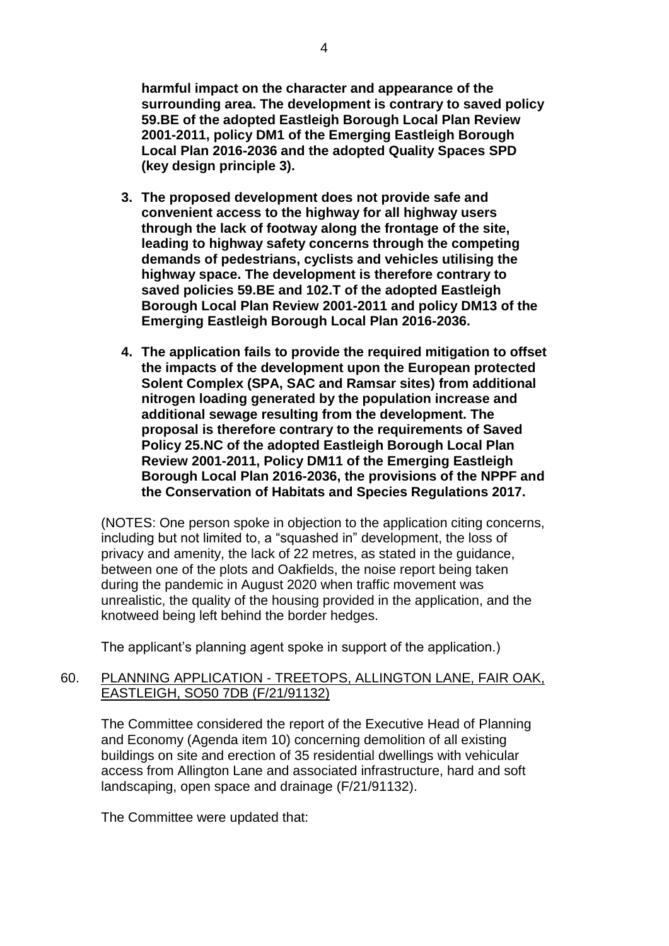**harmful impact on the character and appearance of the surrounding area. The development is contrary to saved policy 59.BE of the adopted Eastleigh Borough Local Plan Review 2001-2011, policy DM1 of the Emerging Eastleigh Borough Local Plan 2016-2036 and the adopted Quality Spaces SPD (key design principle 3).**

- **3. The proposed development does not provide safe and convenient access to the highway for all highway users through the lack of footway along the frontage of the site, leading to highway safety concerns through the competing demands of pedestrians, cyclists and vehicles utilising the highway space. The development is therefore contrary to saved policies 59.BE and 102.T of the adopted Eastleigh Borough Local Plan Review 2001-2011 and policy DM13 of the Emerging Eastleigh Borough Local Plan 2016-2036.**
- **4. The application fails to provide the required mitigation to offset the impacts of the development upon the European protected Solent Complex (SPA, SAC and Ramsar sites) from additional nitrogen loading generated by the population increase and additional sewage resulting from the development. The proposal is therefore contrary to the requirements of Saved Policy 25.NC of the adopted Eastleigh Borough Local Plan Review 2001-2011, Policy DM11 of the Emerging Eastleigh Borough Local Plan 2016-2036, the provisions of the NPPF and the Conservation of Habitats and Species Regulations 2017.**

(NOTES: One person spoke in objection to the application citing concerns, including but not limited to, a "squashed in" development, the loss of privacy and amenity, the lack of 22 metres, as stated in the guidance, between one of the plots and Oakfields, the noise report being taken during the pandemic in August 2020 when traffic movement was unrealistic, the quality of the housing provided in the application, and the knotweed being left behind the border hedges.

The applicant's planning agent spoke in support of the application.)

# 60. PLANNING APPLICATION - TREETOPS, ALLINGTON LANE, FAIR OAK, EASTLEIGH, SO50 7DB (F/21/91132)

The Committee considered the report of the Executive Head of Planning and Economy (Agenda item 10) concerning demolition of all existing buildings on site and erection of 35 residential dwellings with vehicular access from Allington Lane and associated infrastructure, hard and soft landscaping, open space and drainage (F/21/91132).

The Committee were updated that: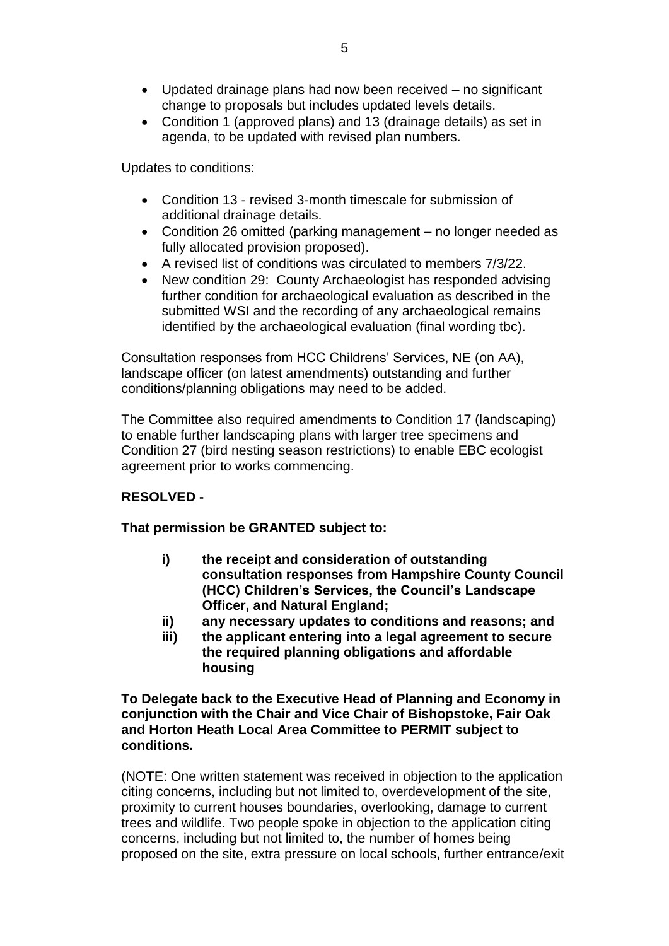- Updated drainage plans had now been received no significant change to proposals but includes updated levels details.
- Condition 1 (approved plans) and 13 (drainage details) as set in agenda, to be updated with revised plan numbers.

Updates to conditions:

- Condition 13 revised 3-month timescale for submission of additional drainage details.
- Condition 26 omitted (parking management no longer needed as fully allocated provision proposed).
- A revised list of conditions was circulated to members 7/3/22.
- New condition 29: County Archaeologist has responded advising further condition for archaeological evaluation as described in the submitted WSI and the recording of any archaeological remains identified by the archaeological evaluation (final wording tbc).

Consultation responses from HCC Childrens' Services, NE (on AA), landscape officer (on latest amendments) outstanding and further conditions/planning obligations may need to be added.

The Committee also required amendments to Condition 17 (landscaping) to enable further landscaping plans with larger tree specimens and Condition 27 (bird nesting season restrictions) to enable EBC ecologist agreement prior to works commencing.

# **RESOLVED -**

# **That permission be GRANTED subject to:**

- **i) the receipt and consideration of outstanding consultation responses from Hampshire County Council (HCC) Children's Services, the Council's Landscape Officer, and Natural England;**
- **ii) any necessary updates to conditions and reasons; and**
- **iii) the applicant entering into a legal agreement to secure the required planning obligations and affordable housing**

# **To Delegate back to the Executive Head of Planning and Economy in conjunction with the Chair and Vice Chair of Bishopstoke, Fair Oak and Horton Heath Local Area Committee to PERMIT subject to conditions.**

(NOTE: One written statement was received in objection to the application citing concerns, including but not limited to, overdevelopment of the site, proximity to current houses boundaries, overlooking, damage to current trees and wildlife. Two people spoke in objection to the application citing concerns, including but not limited to, the number of homes being proposed on the site, extra pressure on local schools, further entrance/exit